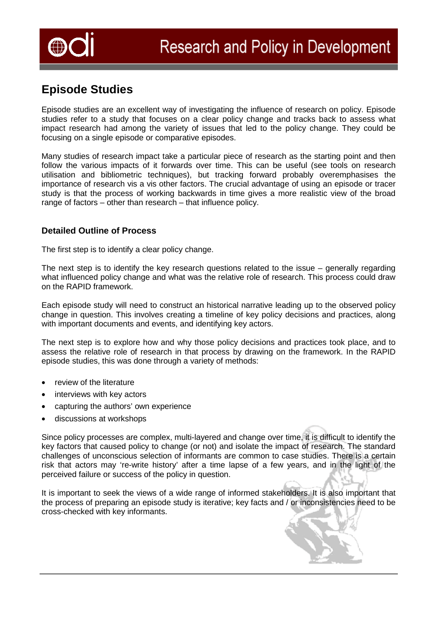

# **Episode Studies**

Episode studies are an excellent way of investigating the influence of research on policy. Episode studies refer to a study that focuses on a clear policy change and tracks back to assess what impact research had among the variety of issues that led to the policy change. They could be focusing on a single episode or comparative episodes.

Many studies of research impact take a particular piece of research as the starting point and then follow the various impacts of it forwards over time. This can be useful (see tools on research utilisation and bibliometric techniques), but tracking forward probably overemphasises the importance of research vis a vis other factors. The crucial advantage of using an episode or tracer study is that the process of working backwards in time gives a more realistic view of the broad range of factors – other than research – that influence policy.

## **Detailed Outline of Process**

The first step is to identify a clear policy change.

The next step is to identify the key research questions related to the issue – generally regarding what influenced policy change and what was the relative role of research. This process could draw on the RAPID framework.

Each episode study will need to construct an historical narrative leading up to the observed policy change in question. This involves creating a timeline of key policy decisions and practices, along with important documents and events, and identifying key actors.

The next step is to explore how and why those policy decisions and practices took place, and to assess the relative role of research in that process by drawing on the framework. In the RAPID episode studies, this was done through a variety of methods:

- review of the literature
- interviews with key actors
- capturing the authors' own experience
- discussions at workshops

Since policy processes are complex, multi-layered and change over time, it is difficult to identify the key factors that caused policy to change (or not) and isolate the impact of research. The standard challenges of unconscious selection of informants are common to case studies. There is a certain risk that actors may 're-write history' after a time lapse of a few years, and in the light of the perceived failure or success of the policy in question.

It is important to seek the views of a wide range of informed stakeholders. It is also important that the process of preparing an episode study is iterative; key facts and / or inconsistencies need to be cross-checked with key informants.